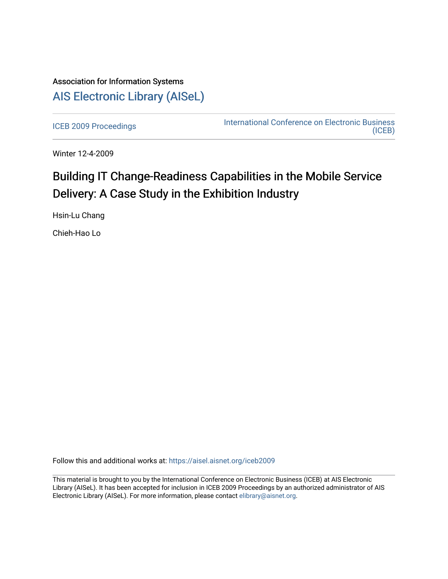# Association for Information Systems [AIS Electronic Library \(AISeL\)](https://aisel.aisnet.org/)

[ICEB 2009 Proceedings](https://aisel.aisnet.org/iceb2009) **International Conference on Electronic Business** [\(ICEB\)](https://aisel.aisnet.org/iceb) 

Winter 12-4-2009

# Building IT Change-Readiness Capabilities in the Mobile Service Delivery: A Case Study in the Exhibition Industry

Hsin-Lu Chang

Chieh-Hao Lo

Follow this and additional works at: [https://aisel.aisnet.org/iceb2009](https://aisel.aisnet.org/iceb2009?utm_source=aisel.aisnet.org%2Ficeb2009%2F46&utm_medium=PDF&utm_campaign=PDFCoverPages)

This material is brought to you by the International Conference on Electronic Business (ICEB) at AIS Electronic Library (AISeL). It has been accepted for inclusion in ICEB 2009 Proceedings by an authorized administrator of AIS Electronic Library (AISeL). For more information, please contact [elibrary@aisnet.org.](mailto:elibrary@aisnet.org%3E)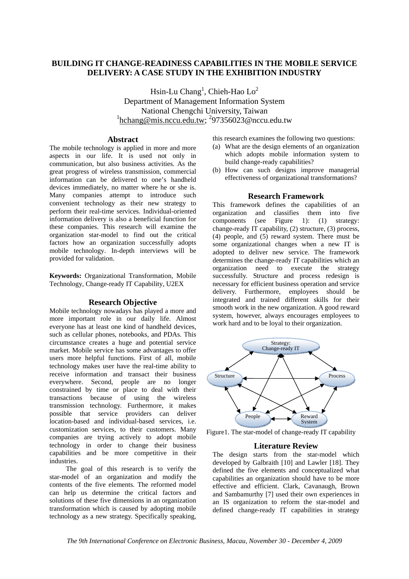# **BUILDING IT CHANGE-READINESS CAPABILITIES IN THE MOBILE SERVICE DELIVERY: A CASE STUDY IN THE EXHIBITION INDUSTRY**

Hsin-Lu Chang<sup>1</sup>, Chieh-Hao Lo<sup>2</sup> Department of Management Information System National Chengchi University, Taiwan  $\frac{1}{2}$ hchang@mis.nccu.edu.tw; <sup>2</sup>97356023@nccu.edu.tw

## **Abstract**

The mobile technology is applied in more and more aspects in our life. It is used not only in communication, but also business activities. As the great progress of wireless transmission, commercial information can be delivered to one's handheld devices immediately, no matter where he or she is. Many companies attempt to introduce such convenient technology as their new strategy to perform their real-time services. Individual-oriented information delivery is also a beneficial function for these companies. This research will examine the organization star-model to find out the critical factors how an organization successfully adopts mobile technology. In-depth interviews will be provided for validation.

**Keywords:** Organizational Transformation, Mobile Technology, Change-ready IT Capability, U2EX

#### **Research Objective**

Mobile technology nowadays has played a more and more important role in our daily life. Almost everyone has at least one kind of handheld devices, such as cellular phones, notebooks, and PDAs. This circumstance creates a huge and potential service market. Mobile service has some advantages to offer users more helpful functions. First of all, mobile technology makes user have the real-time ability to receive information and transact their business everywhere. Second, people are no longer constrained by time or place to deal with their transactions because of using the wireless transmission technology. Furthermore, it makes possible that service providers can deliver location-based and individual-based services, i.e. customization services, to their customers. Many companies are trying actively to adopt mobile technology in order to change their business capabilities and be more competitive in their industries.

The goal of this research is to verify the star-model of an organization and modify the contents of the five elements. The reformed model can help us determine the critical factors and solutions of these five dimensions in an organization transformation which is caused by adopting mobile technology as a new strategy. Specifically speaking,

this research examines the following two questions:

- (a) What are the design elements of an organization which adopts mobile information system to build change-ready capabilities?
- (b) How can such designs improve managerial effectiveness of organizational transformations?

### **Research Framework**

This framework defines the capabilities of an organization and classifies them into five components (see Figure 1): (1) strategy: change-ready IT capability, (2) structure, (3) process, (4) people, and (5) reward system. There must be some organizational changes when a new IT is adopted to deliver new service. The framework determines the change-ready IT capabilities which an organization need to execute the strategy successfully. Structure and process redesign is necessary for efficient business operation and service delivery. Furthermore, employees should be integrated and trained different skills for their smooth work in the new organization. A good reward system, however, always encourages employees to work hard and to be loyal to their organization.



Figure1. The star-model of change-ready IT capability

#### **Literature Review**

The design starts from the star-model which developed by Galbraith [10] and Lawler [18]. They defined the five elements and conceptualized what capabilities an organization should have to be more effective and efficient. Clark, Cavanaugh, Brown and Sambamurthy [7] used their own experiences in an IS organization to reform the star-model and defined change-ready IT capabilities in strategy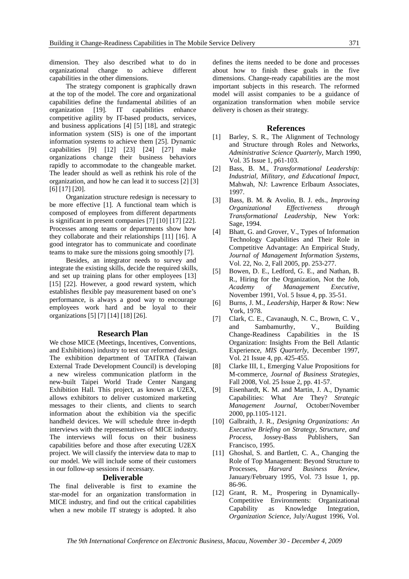dimension. They also described what to do in organizational change to achieve different capabilities in the other dimensions.

The strategy component is graphically drawn at the top of the model. The core and organizational capabilities define the fundamental abilities of an organization [19]. IT capabilities enhance competitive agility by IT-based products, services, and business applications [4] [5] [18], and strategic information system (SIS) is one of the important information systems to achieve them [25]. Dynamic capabilities [9] [12] [23] [24] [27] make organizations change their business behaviors rapidly to accommodate to the changeable market. The leader should as well as rethink his role of the organization, and how he can lead it to success [2] [3] [6] [17] [20].

Organization structure redesign is necessary to be more effective [1]. A functional team which is composed of employees from different departments is significant in present companies [7] [10] [17] [22]. Processes among teams or departments show how they collaborate and their relationships [11] [16]. A good integrator has to communicate and coordinate teams to make sure the missions going smoothly [7].

Besides, an integrator needs to survey and integrate the existing skills, decide the required skills, and set up training plans for other employees [13] [15] [22]. However, a good reward system, which establishes flexible pay measurement based on one's performance, is always a good way to encourage employees work hard and be loyal to their organizations [5] [7] [14] [18] [26].

#### **Research Plan**

We chose MICE (Meetings, Incentives, Conventions, and Exhibitions) industry to test our reformed design. The exhibition department of TAITRA (Taiwan External Trade Development Council) is developing a new wireless communication platform in the new-built Taipei World Trade Center Nangang Exhibition Hall. This project, as known as U2EX, allows exhibitors to deliver customized marketing messages to their clients, and clients to search information about the exhibition via the specific handheld devices. We will schedule three in-depth interviews with the representatives of MICE industry. The interviews will focus on their business capabilities before and those after executing U2EX project. We will classify the interview data to map to our model. We will include some of their customers in our follow-up sessions if necessary.

#### **Deliverable**

The final deliverable is first to examine the star-model for an organization transformation in MICE industry, and find out the critical capabilities when a new mobile IT strategy is adopted. It also

defines the items needed to be done and processes about how to finish these goals in the five dimensions. Change-ready capabilities are the most important subjects in this research. The reformed model will assist companies to be a guidance of organization transformation when mobile service delivery is chosen as their strategy.

#### **References**

- [1] Barley, S. R., The Alignment of Technology and Structure through Roles and Networks, *Administrative Science Quarterly*, March 1990, Vol. 35 Issue 1, p61-103.
- [2] Bass, B. M., *Transformational Leadership: Industrial, Military, and Educational Impact*, Mahwah, NJ: Lawrence Erlbaum Associates, 1997.
- [3] Bass, B. M. & Avolio, B. J. eds., *Improving Organizational Effectiveness through Transformational Leadership*, New York: Sage, 1994.
- [4] Bhatt, G. and Grover, V., Types of Information Technology Capabilities and Their Role in Competitive Advantage: An Empirical Study, *Journal of Management Information Systems*, Vol. 22, No. 2, Fall 2005, pp. 253-277.
- [5] Bowen, D. E., Ledford, G. E., and Nathan, B. R., Hiring for the Organization, Not the Job, *Academy of Management Executive*, November 1991, Vol. 5 Issue 4, pp. 35-51.
- [6] Burns, J. M., *Leadership*, Harper & Row: New York, 1978.
- [7] Clark, C. E., Cavanaugh, N. C., Brown, C. V., and Sambamurthy, V., Building Change-Readiness Capabilities in the IS Organization: Insights From the Bell Atlantic Experience, *MIS Quarterly*, December 1997, Vol. 21 Issue 4, pp. 425-455.
- [8] Clarke III, I., Emerging Value Propositions for M-commerce, *Journal of Business Strategies*, Fall 2008, Vol. 25 Issue 2, pp. 41-57.
- [9] Eisenhardt, K. M. and Martin, J. A., Dynamic Capabilities: What Are They? *Strategic Management Journal*, October/November 2000, pp.1105-1121.
- [10] Galbraith, J. R., *Designing Organizations: An Executive Briefing on Strategy, Structure, and Process*, Jossey-Bass Publishers, San Francisco, 1995.
- [11] Ghoshal, S. and Bartlett, C. A., Changing the Role of Top Management: Beyond Structure to Processes, *Harvard Business Review*, January/February 1995, Vol. 73 Issue 1, pp. 86-96.
- [12] Grant, R. M., Prospering in Dynamically-Competitive Environments: Organizational Capability as Knowledge Integration, *Organization Science*, July/August 1996, Vol.